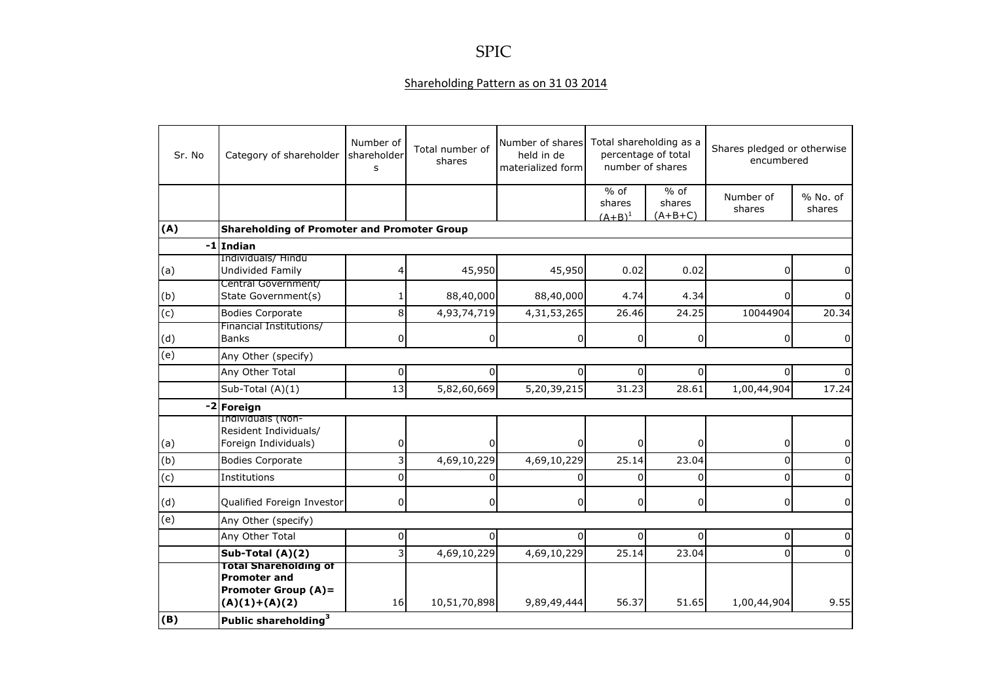## SPIC

## Shareholding Pattern as on 31 03 2014

| Sr. No | Category of shareholder                                                                              | Number of<br>shareholder<br>S | Total number of<br>shares | Number of shares<br>held in de<br>materialized form | Total shareholding as a<br>percentage of total<br>number of shares |                               | Shares pledged or otherwise<br>encumbered |                    |
|--------|------------------------------------------------------------------------------------------------------|-------------------------------|---------------------------|-----------------------------------------------------|--------------------------------------------------------------------|-------------------------------|-------------------------------------------|--------------------|
|        |                                                                                                      |                               |                           |                                                     | $%$ of<br>shares<br>$(A+B)^1$                                      | $%$ of<br>shares<br>$(A+B+C)$ | Number of<br>shares                       | % No. of<br>shares |
| (A)    | <b>Shareholding of Promoter and Promoter Group</b>                                                   |                               |                           |                                                     |                                                                    |                               |                                           |                    |
| -1     | Indian                                                                                               |                               |                           |                                                     |                                                                    |                               |                                           |                    |
| (a)    | Individuals/ Hindu<br>Undivided Family                                                               |                               | 45,950                    | 45,950                                              | 0.02                                                               | 0.02                          | 0                                         |                    |
| (b)    | Central Government/<br>State Government(s)                                                           |                               | 88,40,000                 | 88,40,000                                           | 4.74                                                               | 4.34                          | 0                                         |                    |
| (c)    | <b>Bodies Corporate</b>                                                                              | 8                             | 4,93,74,719               | 4,31,53,265                                         | 26.46                                                              | 24.25                         | 10044904                                  | 20.34              |
| (d)    | Financial Institutions/<br><b>Banks</b>                                                              | 0                             | $\overline{0}$            | 0                                                   | $\overline{0}$                                                     | 0                             | 0                                         | 0                  |
| (e)    | Any Other (specify)                                                                                  |                               |                           |                                                     |                                                                    |                               |                                           |                    |
|        | Any Other Total                                                                                      | 0                             | 0                         | $\Omega$                                            | $\Omega$                                                           | 0                             | $\Omega$                                  |                    |
|        | Sub-Total $(A)(1)$                                                                                   | 13                            | 5,82,60,669               | 5,20,39,215                                         | 31.23                                                              | 28.61                         | 1,00,44,904                               | 17.24              |
|        | -2 Foreign                                                                                           |                               |                           |                                                     |                                                                    |                               |                                           |                    |
| (a)    | Individuals (Non-<br>Resident Individuals/<br>Foreign Individuals)                                   | 0                             | $\Omega$                  | $\Omega$                                            | $\Omega$                                                           | $\Omega$                      | 0                                         |                    |
| (b)    | <b>Bodies Corporate</b>                                                                              | 3                             | 4,69,10,229               | 4,69,10,229                                         | 25.14                                                              | 23.04                         | $\Omega$                                  |                    |
| (c)    | Institutions                                                                                         | $\Omega$                      | $\Omega$                  | 0                                                   | $\Omega$                                                           | $\Omega$                      | $\mathbf 0$                               |                    |
| (d)    | Qualified Foreign Investor                                                                           | $\overline{0}$                | $\overline{0}$            | $\overline{0}$                                      | $\overline{0}$                                                     | 0                             | 0                                         | <sup>0</sup>       |
| (e)    | Any Other (specify)                                                                                  |                               |                           |                                                     |                                                                    |                               |                                           |                    |
|        | Any Other Total                                                                                      | 0                             | $\Omega$                  | $\Omega$                                            | $\Omega$                                                           | $\Omega$                      | 0                                         | <sup>0</sup>       |
|        | Sub-Total (A)(2)                                                                                     | $\overline{3}$                | 4,69,10,229               | 4,69,10,229                                         | 25.14                                                              | 23.04                         | $\mathbf 0$                               | $\Omega$           |
|        | <b>Total Shareholding of</b><br><b>Promoter and</b><br><b>Promoter Group (A)=</b><br>$(A)(1)+(A)(2)$ | 16                            | 10,51,70,898              | 9,89,49,444                                         | 56.37                                                              | 51.65                         | 1,00,44,904                               | 9.55               |
| (B)    | Public shareholding <sup>3</sup>                                                                     |                               |                           |                                                     |                                                                    |                               |                                           |                    |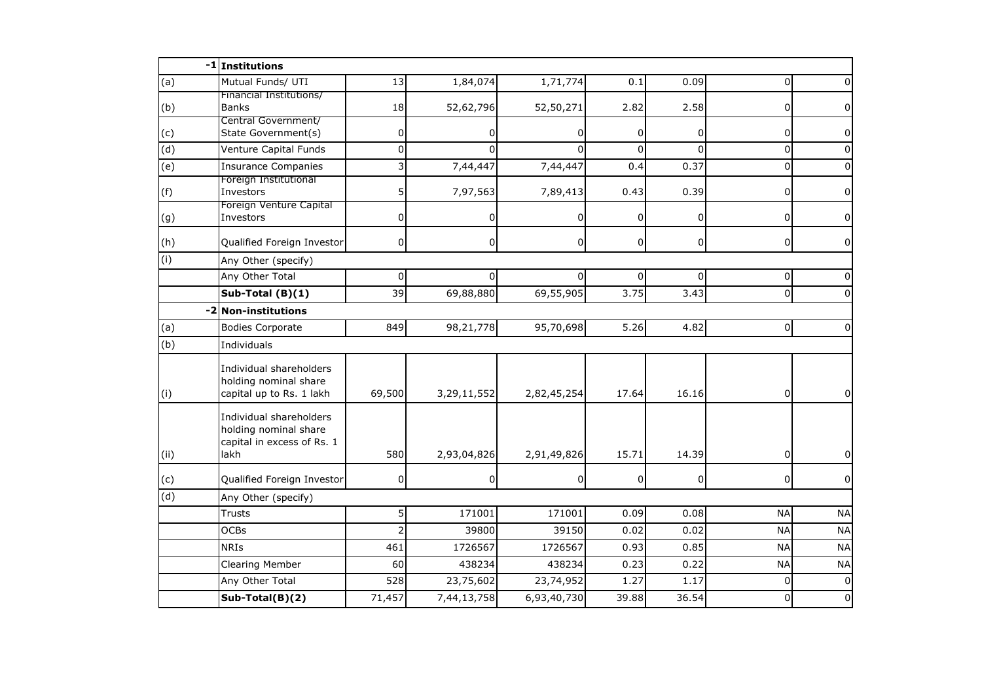|                | -1 Institutions                                                                        |                |                |                |          |                |                |           |
|----------------|----------------------------------------------------------------------------------------|----------------|----------------|----------------|----------|----------------|----------------|-----------|
| (a)            | Mutual Funds/ UTI                                                                      | 13             | 1,84,074       | 1,71,774       | 0.1      | 0.09           | $\Omega$       |           |
| (b)            | Financial Institutions/<br><b>Banks</b>                                                | 18             | 52,62,796      | 52,50,271      | 2.82     | 2.58           | 0              |           |
| (c)            | Central Government/<br>State Government(s)                                             | 0              | 0              | 0              | $\Omega$ | $\overline{0}$ | 0              | 0         |
| $\overline{d}$ | Venture Capital Funds                                                                  | $\Omega$       | $\Omega$       | $\Omega$       | $\Omega$ | $\Omega$       | 0              | U         |
| (e)            | <b>Insurance Companies</b>                                                             | 3              | 7,44,447       | 7,44,447       | 0.4      | 0.37           | $\mathbf 0$    |           |
| (f)            | Foreign Institutional<br>Investors                                                     | 5              | 7,97,563       | 7,89,413       | 0.43     | 0.39           | 0              | 0         |
| (g)            | Foreign Venture Capital<br>Investors                                                   | $\Omega$       |                | 0              | 0        | $\overline{0}$ | 0              | 0         |
| (h)            | Qualified Foreign Investor                                                             | 0              | $\overline{0}$ | $\overline{0}$ | 0        | $\overline{0}$ | $\overline{0}$ | 0         |
| (i)            | Any Other (specify)                                                                    |                |                |                |          |                |                |           |
|                | Any Other Total                                                                        | 0              |                | 0              | 0        | $\Omega$       | 0              |           |
|                | Sub-Total (B)(1)                                                                       | 39             | 69,88,880      | 69,55,905      | 3.75     | 3.43           | $\mathbf 0$    |           |
| $-2$           | <b>Non-institutions</b>                                                                |                |                |                |          |                |                |           |
| (a)            | <b>Bodies Corporate</b>                                                                | 849            | 98,21,778      | 95,70,698      | 5.26     | 4.82           | $\overline{0}$ | $\Omega$  |
| (b)            | Individuals                                                                            |                |                |                |          |                |                |           |
| (i)            | Individual shareholders<br>holding nominal share<br>capital up to Rs. 1 lakh           | 69,500         | 3,29,11,552    | 2,82,45,254    | 17.64    | 16.16          | $\overline{0}$ | 0         |
| (i)            | Individual shareholders<br>holding nominal share<br>capital in excess of Rs. 1<br>lakh | 580            | 2,93,04,826    | 2,91,49,826    | 15.71    | 14.39          | 0              |           |
| (c)            | Qualified Foreign Investor                                                             | 0              | 0              | 0              | $\Omega$ | $\overline{0}$ | 0              | $\Omega$  |
| (d)            | Any Other (specify)                                                                    |                |                |                |          |                |                |           |
|                | <b>Trusts</b>                                                                          | 5              | 171001         | 171001         | 0.09     | 0.08           | <b>NA</b>      | <b>NA</b> |
|                | <b>OCBs</b>                                                                            | $\overline{2}$ | 39800          | 39150          | 0.02     | 0.02           | <b>NA</b>      | <b>NA</b> |
|                | <b>NRIS</b>                                                                            | 461            | 1726567        | 1726567        | 0.93     | 0.85           | <b>NA</b>      | <b>NA</b> |
|                | Clearing Member                                                                        | 60             | 438234         | 438234         | 0.23     | 0.22           | <b>NA</b>      | <b>NA</b> |
|                | Any Other Total                                                                        | 528            | 23,75,602      | 23,74,952      | 1.27     | 1.17           | $\Omega$       | $\Omega$  |
|                | Sub-Total(B)(2)                                                                        | 71,457         | 7,44,13,758    | 6,93,40,730    | 39.88    | 36.54          | $\Omega$       | $\Omega$  |